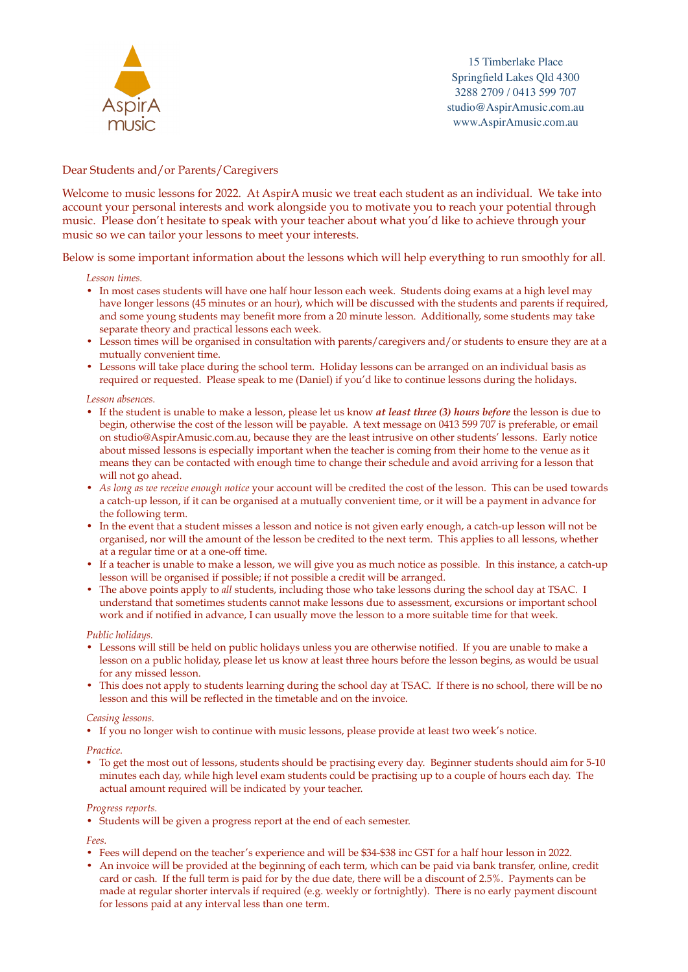

15 Timberlake Place Springfield Lakes Qld 4300 3288 2709 / 0413 599 707 studio@AspirAmusic.com.au www.AspirAmusic.com.au

# Dear Students and/or Parents/Caregivers

Welcome to music lessons for 2022. At AspirA music we treat each student as an individual. We take into account your personal interests and work alongside you to motivate you to reach your potential through music. Please don't hesitate to speak with your teacher about what you'd like to achieve through your music so we can tailor your lessons to meet your interests.

Below is some important information about the lessons which will help everything to run smoothly for all.

#### *Lesson times.*

- In most cases students will have one half hour lesson each week. Students doing exams at a high level may have longer lessons (45 minutes or an hour), which will be discussed with the students and parents if required, and some young students may benefit more from a 20 minute lesson. Additionally, some students may take separate theory and practical lessons each week.
- Lesson times will be organised in consultation with parents/caregivers and/or students to ensure they are at a mutually convenient time.
- Lessons will take place during the school term. Holiday lessons can be arranged on an individual basis as required or requested. Please speak to me (Daniel) if you'd like to continue lessons during the holidays.

## *Lesson absences.*

- If the student is unable to make a lesson, please let us know *at least three (3) hours before* the lesson is due to begin, otherwise the cost of the lesson will be payable. A text message on 0413 599 707 is preferable, or email on studio@AspirAmusic.com.au, because they are the least intrusive on other students' lessons. Early notice about missed lessons is especially important when the teacher is coming from their home to the venue as it means they can be contacted with enough time to change their schedule and avoid arriving for a lesson that will not go ahead.
- *As long as we receive enough notice* your account will be credited the cost of the lesson. This can be used towards a catch-up lesson, if it can be organised at a mutually convenient time, or it will be a payment in advance for the following term.
- In the event that a student misses a lesson and notice is not given early enough, a catch-up lesson will not be organised, nor will the amount of the lesson be credited to the next term. This applies to all lessons, whether at a regular time or at a one-off time.
- If a teacher is unable to make a lesson, we will give you as much notice as possible. In this instance, a catch-up lesson will be organised if possible; if not possible a credit will be arranged.
- The above points apply to *all* students, including those who take lessons during the school day at TSAC. I understand that sometimes students cannot make lessons due to assessment, excursions or important school work and if notified in advance, I can usually move the lesson to a more suitable time for that week.

#### *Public holidays.*

- Lessons will still be held on public holidays unless you are otherwise notified. If you are unable to make a lesson on a public holiday, please let us know at least three hours before the lesson begins, as would be usual for any missed lesson.
- This does not apply to students learning during the school day at TSAC. If there is no school, there will be no lesson and this will be reflected in the timetable and on the invoice.

#### *Ceasing lessons.*

*•* If you no longer wish to continue with music lessons, please provide at least two week's notice.

#### *Practice.*

*•* To get the most out of lessons, students should be practising every day. Beginner students should aim for 5-10 minutes each day, while high level exam students could be practising up to a couple of hours each day. The actual amount required will be indicated by your teacher.

#### *Progress reports.*

• Students will be given a progress report at the end of each semester.

#### *Fees.*

- Fees will depend on the teacher's experience and will be \$34-\$38 inc GST for a half hour lesson in 2022.
- An invoice will be provided at the beginning of each term, which can be paid via bank transfer, online, credit card or cash. If the full term is paid for by the due date, there will be a discount of 2.5%. Payments can be made at regular shorter intervals if required (e.g. weekly or fortnightly). There is no early payment discount for lessons paid at any interval less than one term.